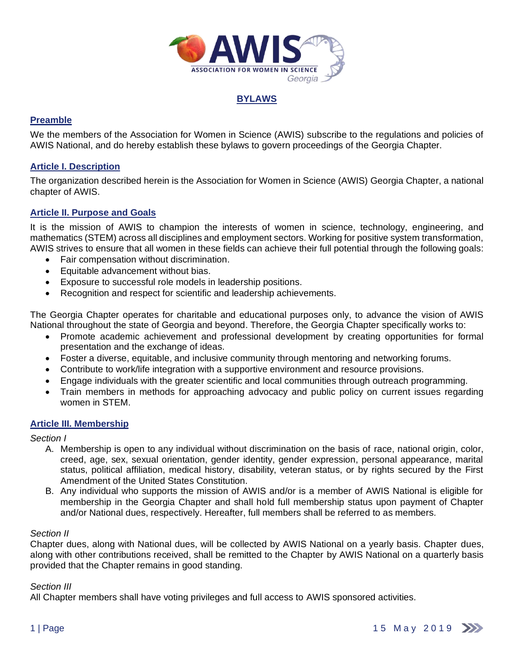

# **BYLAWS**

# **Preamble**

We the members of the Association for Women in Science (AWIS) subscribe to the regulations and policies of AWIS National, and do hereby establish these bylaws to govern proceedings of the Georgia Chapter.

# **Article I. Description**

The organization described herein is the Association for Women in Science (AWIS) Georgia Chapter, a national chapter of AWIS.

# **Article II. Purpose and Goals**

It is the mission of AWIS to champion the interests of women in science, technology, engineering, and mathematics (STEM) across all disciplines and employment sectors. Working for positive system transformation, AWIS strives to ensure that all women in these fields can achieve their full potential through the following goals:

- Fair compensation without discrimination.
- Equitable advancement without bias.
- Exposure to successful role models in leadership positions.
- Recognition and respect for scientific and leadership achievements.

The Georgia Chapter operates for charitable and educational purposes only, to advance the vision of AWIS National throughout the state of Georgia and beyond. Therefore, the Georgia Chapter specifically works to:

- Promote academic achievement and professional development by creating opportunities for formal presentation and the exchange of ideas.
- Foster a diverse, equitable, and inclusive community through mentoring and networking forums.
- Contribute to work/life integration with a supportive environment and resource provisions.
- Engage individuals with the greater scientific and local communities through outreach programming.
- Train members in methods for approaching advocacy and public policy on current issues regarding women in STEM.

# **Article III. Membership**

*Section I*

- A. Membership is open to any individual without discrimination on the basis of race, national origin, color, creed, age, sex, sexual orientation, gender identity, gender expression, personal appearance, marital status, political affiliation, medical history, disability, veteran status, or by rights secured by the First Amendment of the United States Constitution.
- B. Any individual who supports the mission of AWIS and/or is a member of AWIS National is eligible for membership in the Georgia Chapter and shall hold full membership status upon payment of Chapter and/or National dues, respectively. Hereafter, full members shall be referred to as members.

### *Section II*

Chapter dues, along with National dues, will be collected by AWIS National on a yearly basis. Chapter dues, along with other contributions received, shall be remitted to the Chapter by AWIS National on a quarterly basis provided that the Chapter remains in good standing.

### *Section III*

All Chapter members shall have voting privileges and full access to AWIS sponsored activities.

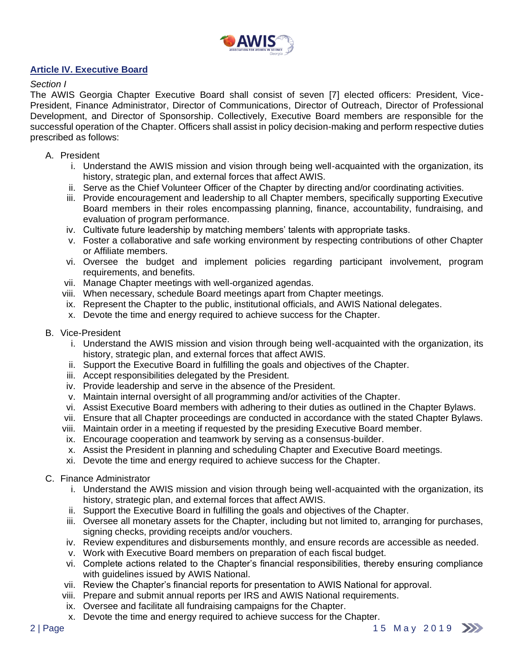

# **Article IV. Executive Board**

## *Section I*

The AWIS Georgia Chapter Executive Board shall consist of seven [7] elected officers: President, Vice-President, Finance Administrator, Director of Communications, Director of Outreach, Director of Professional Development, and Director of Sponsorship. Collectively, Executive Board members are responsible for the successful operation of the Chapter. Officers shall assist in policy decision-making and perform respective duties prescribed as follows:

## A. President

- i. Understand the AWIS mission and vision through being well-acquainted with the organization, its history, strategic plan, and external forces that affect AWIS.
- ii. Serve as the Chief Volunteer Officer of the Chapter by directing and/or coordinating activities.
- iii. Provide encouragement and leadership to all Chapter members, specifically supporting Executive Board members in their roles encompassing planning, finance, accountability, fundraising, and evaluation of program performance.
- iv. Cultivate future leadership by matching members' talents with appropriate tasks.
- v. Foster a collaborative and safe working environment by respecting contributions of other Chapter or Affiliate members.
- vi. Oversee the budget and implement policies regarding participant involvement, program requirements, and benefits.
- vii. Manage Chapter meetings with well-organized agendas.
- viii. When necessary, schedule Board meetings apart from Chapter meetings.
- ix. Represent the Chapter to the public, institutional officials, and AWIS National delegates.
- x. Devote the time and energy required to achieve success for the Chapter.
- B. Vice-President
	- i. Understand the AWIS mission and vision through being well-acquainted with the organization, its history, strategic plan, and external forces that affect AWIS.
	- ii. Support the Executive Board in fulfilling the goals and objectives of the Chapter.
	- iii. Accept responsibilities delegated by the President.
	- iv. Provide leadership and serve in the absence of the President.
	- v. Maintain internal oversight of all programming and/or activities of the Chapter.
	- vi. Assist Executive Board members with adhering to their duties as outlined in the Chapter Bylaws.
	- vii. Ensure that all Chapter proceedings are conducted in accordance with the stated Chapter Bylaws.
	- viii. Maintain order in a meeting if requested by the presiding Executive Board member.
	- ix. Encourage cooperation and teamwork by serving as a consensus-builder.
	- x. Assist the President in planning and scheduling Chapter and Executive Board meetings.
	- xi. Devote the time and energy required to achieve success for the Chapter.
- C. Finance Administrator
	- i. Understand the AWIS mission and vision through being well-acquainted with the organization, its history, strategic plan, and external forces that affect AWIS.
	- ii. Support the Executive Board in fulfilling the goals and objectives of the Chapter.
	- iii. Oversee all monetary assets for the Chapter, including but not limited to, arranging for purchases, signing checks, providing receipts and/or vouchers.
	- iv. Review expenditures and disbursements monthly, and ensure records are accessible as needed.
	- v. Work with Executive Board members on preparation of each fiscal budget.
	- vi. Complete actions related to the Chapter's financial responsibilities, thereby ensuring compliance with guidelines issued by AWIS National.
	- vii. Review the Chapter's financial reports for presentation to AWIS National for approval.
	- viii. Prepare and submit annual reports per IRS and AWIS National requirements.
	- ix. Oversee and facilitate all fundraising campaigns for the Chapter.
	- x. Devote the time and energy required to achieve success for the Chapter.

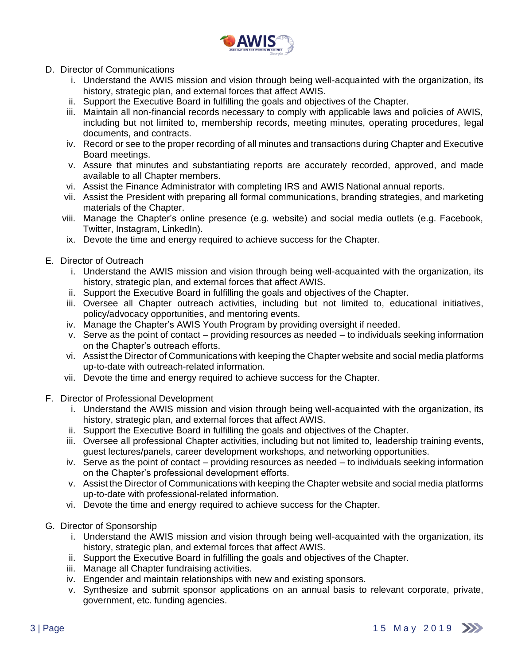

- D. Director of Communications
	- i. Understand the AWIS mission and vision through being well-acquainted with the organization, its history, strategic plan, and external forces that affect AWIS.
	- ii. Support the Executive Board in fulfilling the goals and objectives of the Chapter.
	- iii. Maintain all non-financial records necessary to comply with applicable laws and policies of AWIS, including but not limited to, membership records, meeting minutes, operating procedures, legal documents, and contracts.
	- iv. Record or see to the proper recording of all minutes and transactions during Chapter and Executive Board meetings.
	- v. Assure that minutes and substantiating reports are accurately recorded, approved, and made available to all Chapter members.
	- vi. Assist the Finance Administrator with completing IRS and AWIS National annual reports.
	- vii. Assist the President with preparing all formal communications, branding strategies, and marketing materials of the Chapter.
	- viii. Manage the Chapter's online presence (e.g. website) and social media outlets (e.g. Facebook, Twitter, Instagram, LinkedIn).
	- ix. Devote the time and energy required to achieve success for the Chapter.
- E. Director of Outreach
	- i. Understand the AWIS mission and vision through being well-acquainted with the organization, its history, strategic plan, and external forces that affect AWIS.
	- ii. Support the Executive Board in fulfilling the goals and objectives of the Chapter.
	- iii. Oversee all Chapter outreach activities, including but not limited to, educational initiatives, policy/advocacy opportunities, and mentoring events.
	- iv. Manage the Chapter's AWIS Youth Program by providing oversight if needed.
	- v. Serve as the point of contact providing resources as needed to individuals seeking information on the Chapter's outreach efforts.
	- vi. Assist the Director of Communications with keeping the Chapter website and social media platforms up-to-date with outreach-related information.
	- vii. Devote the time and energy required to achieve success for the Chapter.
- F. Director of Professional Development
	- i. Understand the AWIS mission and vision through being well-acquainted with the organization, its history, strategic plan, and external forces that affect AWIS.
	- ii. Support the Executive Board in fulfilling the goals and objectives of the Chapter.
	- iii. Oversee all professional Chapter activities, including but not limited to, leadership training events, guest lectures/panels, career development workshops, and networking opportunities.
	- iv. Serve as the point of contact providing resources as needed to individuals seeking information on the Chapter's professional development efforts.
	- v. Assist the Director of Communications with keeping the Chapter website and social media platforms up-to-date with professional-related information.
	- vi. Devote the time and energy required to achieve success for the Chapter.
- G. Director of Sponsorship
	- i. Understand the AWIS mission and vision through being well-acquainted with the organization, its history, strategic plan, and external forces that affect AWIS.
	- ii. Support the Executive Board in fulfilling the goals and objectives of the Chapter.
	- iii. Manage all Chapter fundraising activities.
	- iv. Engender and maintain relationships with new and existing sponsors.
	- v. Synthesize and submit sponsor applications on an annual basis to relevant corporate, private, government, etc. funding agencies.

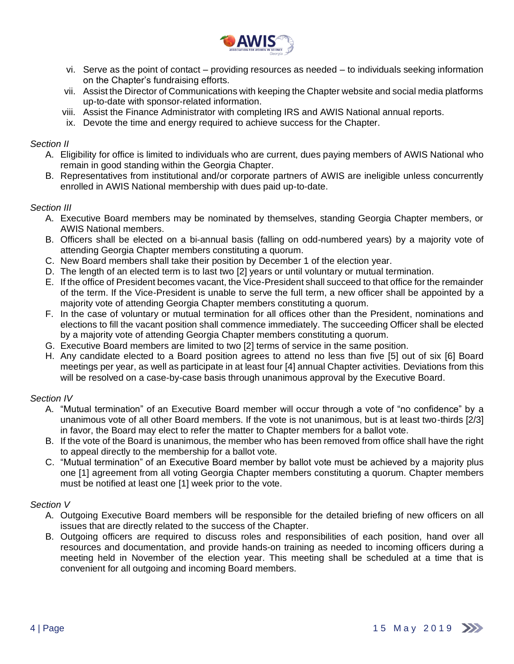

- vi. Serve as the point of contact providing resources as needed to individuals seeking information on the Chapter's fundraising efforts.
- vii. Assist the Director of Communications with keeping the Chapter website and social media platforms up-to-date with sponsor-related information.
- viii. Assist the Finance Administrator with completing IRS and AWIS National annual reports.
- ix. Devote the time and energy required to achieve success for the Chapter.

# *Section II*

- A. Eligibility for office is limited to individuals who are current, dues paying members of AWIS National who remain in good standing within the Georgia Chapter.
- B. Representatives from institutional and/or corporate partners of AWIS are ineligible unless concurrently enrolled in AWIS National membership with dues paid up-to-date.

# *Section III*

- A. Executive Board members may be nominated by themselves, standing Georgia Chapter members, or AWIS National members.
- B. Officers shall be elected on a bi-annual basis (falling on odd-numbered years) by a majority vote of attending Georgia Chapter members constituting a quorum.
- C. New Board members shall take their position by December 1 of the election year.
- D. The length of an elected term is to last two [2] years or until voluntary or mutual termination.
- E. If the office of President becomes vacant, the Vice-President shall succeed to that office for the remainder of the term. If the Vice-President is unable to serve the full term, a new officer shall be appointed by a majority vote of attending Georgia Chapter members constituting a quorum.
- F. In the case of voluntary or mutual termination for all offices other than the President, nominations and elections to fill the vacant position shall commence immediately. The succeeding Officer shall be elected by a majority vote of attending Georgia Chapter members constituting a quorum.
- G. Executive Board members are limited to two [2] terms of service in the same position.
- H. Any candidate elected to a Board position agrees to attend no less than five [5] out of six [6] Board meetings per year, as well as participate in at least four [4] annual Chapter activities. Deviations from this will be resolved on a case-by-case basis through unanimous approval by the Executive Board.

# *Section IV*

- A. "Mutual termination" of an Executive Board member will occur through a vote of "no confidence" by a unanimous vote of all other Board members. If the vote is not unanimous, but is at least two-thirds [2/3] in favor, the Board may elect to refer the matter to Chapter members for a ballot vote.
- B. If the vote of the Board is unanimous, the member who has been removed from office shall have the right to appeal directly to the membership for a ballot vote.
- C. "Mutual termination" of an Executive Board member by ballot vote must be achieved by a majority plus one [1] agreement from all voting Georgia Chapter members constituting a quorum. Chapter members must be notified at least one [1] week prior to the vote.

# *Section V*

- A. Outgoing Executive Board members will be responsible for the detailed briefing of new officers on all issues that are directly related to the success of the Chapter.
- B. Outgoing officers are required to discuss roles and responsibilities of each position, hand over all resources and documentation, and provide hands-on training as needed to incoming officers during a meeting held in November of the election year. This meeting shall be scheduled at a time that is convenient for all outgoing and incoming Board members.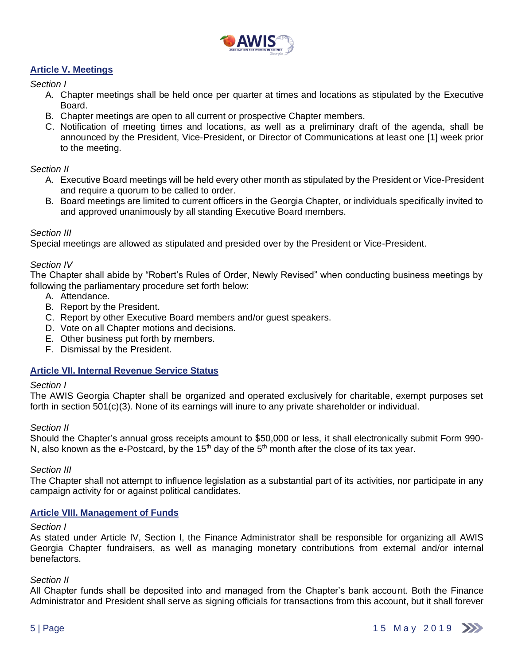

# **Article V. Meetings**

## *Section I*

- A. Chapter meetings shall be held once per quarter at times and locations as stipulated by the Executive Board.
- B. Chapter meetings are open to all current or prospective Chapter members.
- C. Notification of meeting times and locations, as well as a preliminary draft of the agenda, shall be announced by the President, Vice-President, or Director of Communications at least one [1] week prior to the meeting.

### *Section II*

- A. Executive Board meetings will be held every other month as stipulated by the President or Vice-President and require a quorum to be called to order.
- B. Board meetings are limited to current officers in the Georgia Chapter, or individuals specifically invited to and approved unanimously by all standing Executive Board members.

#### *Section III*

Special meetings are allowed as stipulated and presided over by the President or Vice-President.

### *Section IV*

The Chapter shall abide by "Robert's Rules of Order, Newly Revised" when conducting business meetings by following the parliamentary procedure set forth below:

- A. Attendance.
- B. Report by the President.
- C. Report by other Executive Board members and/or guest speakers.
- D. Vote on all Chapter motions and decisions.
- E. Other business put forth by members.
- F. Dismissal by the President.

### **Article VII. Internal Revenue Service Status**

#### *Section I*

The AWIS Georgia Chapter shall be organized and operated exclusively for charitable, exempt purposes set forth in section 501(c)(3). None of its earnings will inure to any private shareholder or individual.

### *Section II*

Should the Chapter's annual gross receipts amount to \$50,000 or less, it shall electronically submit Form 990- N, also known as the e-Postcard, by the 15<sup>th</sup> day of the 5<sup>th</sup> month after the close of its tax year.

### *Section III*

The Chapter shall not attempt to influence legislation as a substantial part of its activities, nor participate in any campaign activity for or against political candidates.

### **Article VIII. Management of Funds**

### *Section I*

As stated under Article IV, Section I, the Finance Administrator shall be responsible for organizing all AWIS Georgia Chapter fundraisers, as well as managing monetary contributions from external and/or internal benefactors.

### *Section II*

All Chapter funds shall be deposited into and managed from the Chapter's bank account. Both the Finance Administrator and President shall serve as signing officials for transactions from this account, but it shall forever

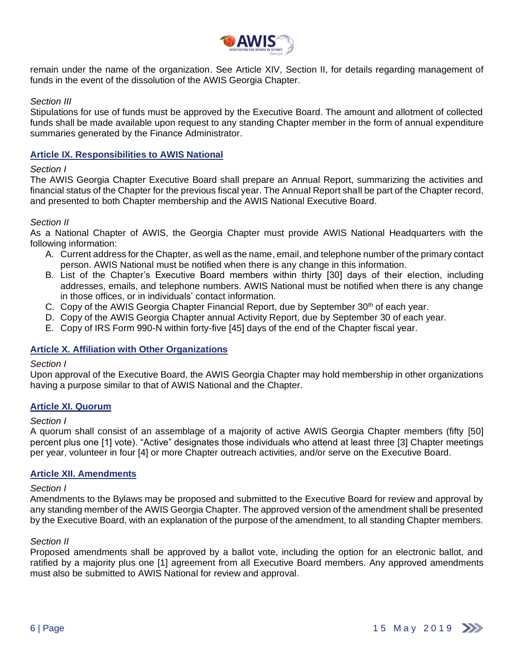

remain under the name of the organization. See Article XIV, Section II, for details regarding management of funds in the event of the dissolution of the AWIS Georgia Chapter.

## *Section III*

Stipulations for use of funds must be approved by the Executive Board. The amount and allotment of collected funds shall be made available upon request to any standing Chapter member in the form of annual expenditure summaries generated by the Finance Administrator.

## **Article IX. Responsibilities to AWIS National**

### *Section I*

The AWIS Georgia Chapter Executive Board shall prepare an Annual Report, summarizing the activities and financial status of the Chapter for the previous fiscal year. The Annual Report shall be part of the Chapter record, and presented to both Chapter membership and the AWIS National Executive Board.

### *Section II*

As a National Chapter of AWIS, the Georgia Chapter must provide AWIS National Headquarters with the following information:

- A. Current address for the Chapter, as well as the name, email, and telephone number of the primary contact person. AWIS National must be notified when there is any change in this information.
- B. List of the Chapter's Executive Board members within thirty [30] days of their election, including addresses, emails, and telephone numbers. AWIS National must be notified when there is any change in those offices, or in individuals' contact information.
- C. Copy of the AWIS Georgia Chapter Financial Report, due by September 30<sup>th</sup> of each year.
- D. Copy of the AWIS Georgia Chapter annual Activity Report, due by September 30 of each year.
- E. Copy of IRS Form 990-N within forty-five [45] days of the end of the Chapter fiscal year.

### **Article X. Affiliation with Other Organizations**

### *Section I*

Upon approval of the Executive Board, the AWIS Georgia Chapter may hold membership in other organizations having a purpose similar to that of AWIS National and the Chapter.

### **Article XI. Quorum**

#### *Section I*

A quorum shall consist of an assemblage of a majority of active AWIS Georgia Chapter members (fifty [50] percent plus one [1] vote). "Active" designates those individuals who attend at least three [3] Chapter meetings per year, volunteer in four [4] or more Chapter outreach activities, and/or serve on the Executive Board.

### **Article XII. Amendments**

#### *Section I*

Amendments to the Bylaws may be proposed and submitted to the Executive Board for review and approval by any standing member of the AWIS Georgia Chapter. The approved version of the amendment shall be presented by the Executive Board, with an explanation of the purpose of the amendment, to all standing Chapter members.

### *Section II*

Proposed amendments shall be approved by a ballot vote, including the option for an electronic ballot, and ratified by a majority plus one [1] agreement from all Executive Board members. Any approved amendments must also be submitted to AWIS National for review and approval.